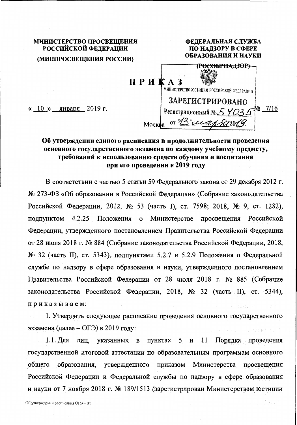## ФЕДЕРАЛЬНАЯ СЛУЖБА МИНИСТЕРСТВО ПРОСВЕЩЕНИЯ ПО НАДЗОРУ В СФЕРЕ РОССИЙСКОЙ ФЕДЕРАЦИИ ОБРАЗОВАНИЯ И НАУКИ (МИНПРОСВЕЩЕНИЯ РОССИИ) <del>(РОСОБРНАДЗОР)</del> ПРИКАЗ МИНИСТЕРСТВО ЮСТИЦИИ РОССИЙСКОЙ ФЕДЕРАЦИИ ЗАРЕГИСТРИРОВАНО Регистрационный № 5 7035 - 2/16 « 10 » января 2019 г. MOCKBa OT "B" cuantary

## Об утверждении единого расписания и продолжительности проведения основного государственного экзамена по каждому учебному предмету, требований к использованию средств обучения и воспитания при его проведении в 2019 году

В соответствии с частью 5 статьи 59 Федерального закона от 29 декабря 2012 г. № 273-ФЗ «Об образовании в Российской Федерации» (Собрание законодательства Российской Федерации, 2012, № 53 (часть I), ст. 7598; 2018, № 9, ст. 1282), просвещения Российской 4.2.25 Положения  $\mathbf{o}$ Министерстве подпунктом Федерации, утвержденного постановлением Правительства Российской Федерации от 28 июля 2018 г. № 884 (Собрание законодательства Российской Федерации, 2018, № 32 (часть II), ст. 5343), подпунктами 5.2.7 и 5.2.9 Положения о Федеральной службе по надзору в сфере образования и науки, утвержденного постановлением Правительства Российской Федерации от 28 июля 2018 г. № 885 (Собрание законодательства Российской Федерации, 2018, № 32 (часть II), ст. 5344), приказываем:

1. Утвердить следующее расписание проведения основного государственного экзамена (далее - ОГЭ) в 2019 году:

1.1. Для лиц, указанных в пунктах 5  $\mathbf{H}$ 11 Порядка проведения государственной итоговой аттестации по образовательным программам основного общего образования, утвержденного приказом Министерства просвещения Российской Федерации и Федеральной службы по надзору в сфере образования и науки от 7 ноября 2018 г. № 189/1513 (зарегистрирован Министерством юстиции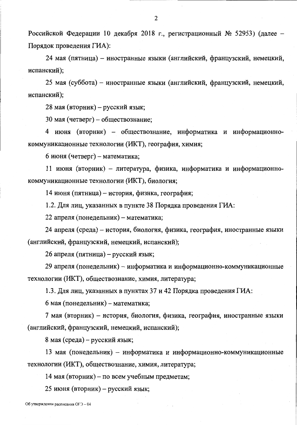Российской Федерации 10 декабря 2018 г., регистрационный № 52953) (далее -Порядок проведения ГИА):

24 мая (пятница) - иностранные языки (английский, французский, немецкий, испанский);

25 мая (суббота) – иностранные языки (английский, французский, немецкий, испанский);

28 мая (вторник) – русский язык;

30 мая (четверг) - обществознание;

4 июня (вторник) - обществознание, информатика и информационнокоммуникационные технологии (ИКТ), география, химия;

6 июня (четверг) – математика;

11 июня (вторник) - литература, физика, информатика и информационнокоммуникационные технологии (ИКТ), биология;

14 июня (пятница) - история, физика, география;

1.2. Для лиц, указанных в пункте 38 Порядка проведения ГИА:

22 апреля (понедельник) – математика;

24 апреля (среда) – история, биология, физика, география, иностранные языки (английский, французский, немецкий, испанский);

26 апреля (пятница) – русский язык;

29 апреля (понедельник) - информатика и информационно-коммуникационные технологии (ИКТ), обществознание, химия, литература;

1.3. Для лиц, указанных в пунктах 37 и 42 Порядка проведения ГИА:

6 мая (понедельник) - математика;

7 мая (вторник) - история, биология, физика, география, иностранные языки (английский, французский, немецкий, испанский);

8 мая (среда) – русский язык;

13 мая (понедельник) - информатика и информационно-коммуникационные технологии (ИКТ), обществознание, химия, литература;

14 мая (вторник) – по всем учебным предметам;

25 июня (вторник) – русский язык;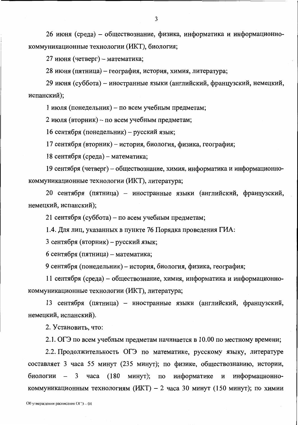26 июня (среда) – обществознание, физика, информатика и информационнокоммуникационные технологии (ИКТ), биология;

27 июня (четверг) - математика;

28 июня (пятница) - география, история, химия, литература;

29 июня (суббота) - иностранные языки (английский, французский, немецкий, испанский);

1 июля (понедельник) - по всем учебным предметам;

2 июля (вторник) - по всем учебным предметам;

16 сентября (понедельник) - русский язык;

17 сентября (вторник) – история, биология, физика, география;

18 сентября (среда) – математика;

19 сентября (четверг) - обществознание, химия, информатика и информационнокоммуникационные технологии (ИКТ), литература;

20 сентября (пятница) - иностранные языки (английский, французский, немецкий, испанский);

21 сентября (суббота) – по всем учебным предметам;

1.4. Для лиц, указанных в пункте 76 Порядка проведения ГИА:

3 сентября (вторник) – русский язык;

6 сентября (пятница) - математика;

9 сентября (понедельник) – история, биология, физика, география;

11 сентября (среда) – обществознание, химия, информатика и информационнокоммуникационные технологии (ИКТ), литература;

13 сентября (пятница) - иностранные языки (английский, французский, немецкий, испанский).

2. Установить, что:

2.1. ОГЭ по всем учебным предметам начинается в 10.00 по местному времени;

2.2. Продолжительность ОГЭ по математике, русскому языку, литературе составляет 3 часа 55 минут (235 минут); по физике, обществознанию, истории, минут); по биологии 3 часа  $(180)$ информатике  $\, {\bf N}$ информационнокоммуникационным технологиям (ИКТ) - 2 часа 30 минут (150 минут); по химии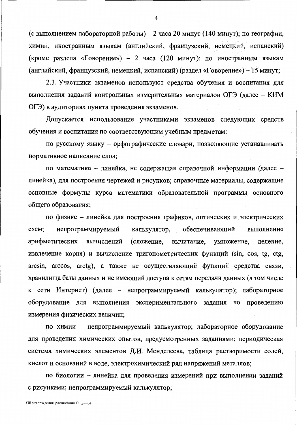(с выполнением лабораторной работы) - 2 часа 20 минут (140 минут); по географии, химии, иностранным языкам (английский, французский, немецкий, испанский) (кроме раздела «Говорение») – 2 часа (120 минут); по иностранным языкам (английский, французский, немецкий, испанский) (раздел «Говорение») – 15 минут;

2.3. Участники экзаменов используют средства обучения и воспитания для выполнения заданий контрольных измерительных материалов ОГЭ (далее - КИМ ОГЭ) в аудиториях пункта проведения экзаменов.

Допускается использование участниками экзаменов следующих средств обучения и воспитания по соответствующим учебным предметам:

по русскому языку - орфографические словари, позволяющие устанавливать нормативное написание слов;

по математике - линейка, не содержащая справочной информации (далее линейка), для построения чертежей и рисунков; справочные материалы, содержащие основные формулы курса математики образовательной программы основного общего образования;

по физике - линейка для построения графиков, оптических и электрических калькулятор, обеспечивающий cxem; непрограммируемый выполнение арифметических вычислений (сложение, вычитание, умножение, деление, извлечение корня) и вычисление тригонометрических функций (sin, cos, tg, ctg, arcsin, arccos, arctg), а также не осуществляющий функций средства связи, хранилища базы данных и не имеющий доступа к сетям передачи данных (в том числе к сети Интернет) (далее – непрограммируемый калькулятор); лабораторное оборудование для выполнения экспериментального задания по проведению измерения физических величин;

по химии - непрограммируемый калькулятор; лабораторное оборудование для проведения химических опытов, предусмотренных заданиями; периодическая система химических элементов Д.И. Менделеева, таблица растворимости солей, кислот и оснований в воде, электрохимический ряд напряжений металлов;

по биологии - линейка для проведения измерений при выполнении заданий с рисунками; непрограммируемый калькулятор;

 $\overline{\mathbf{4}}$